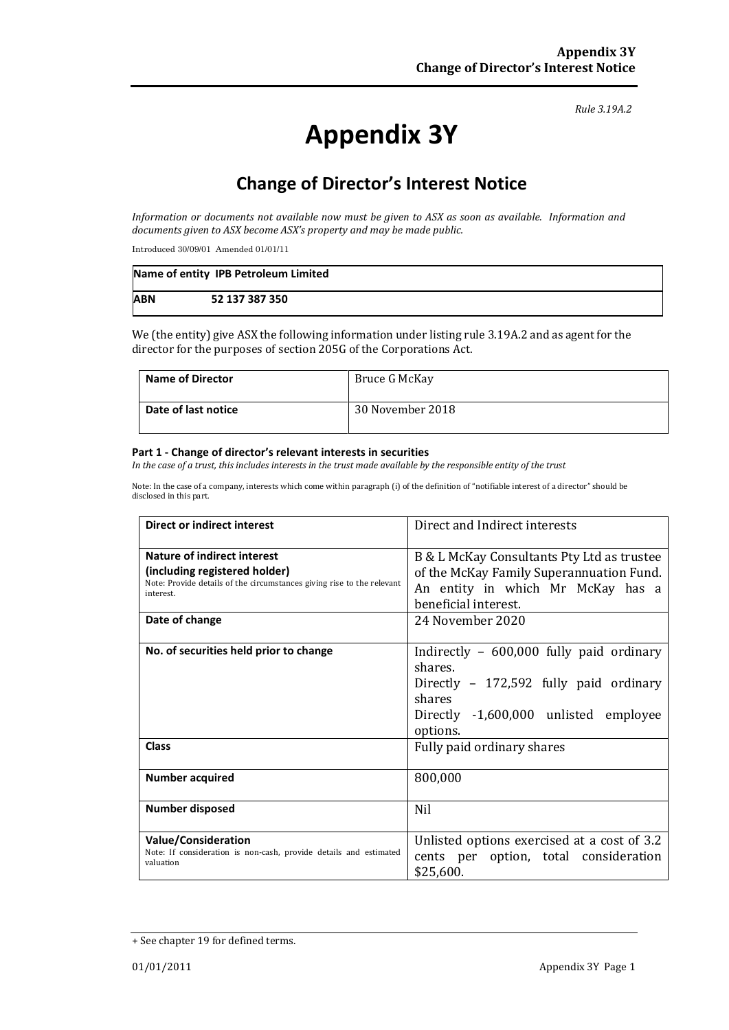#### *Rule 3.19A.2*

# **Appendix 3Y**

# **Change of Director's Interest Notice**

*Information or documents not available now must be given to ASX as soon as available. Information and documents given to ASX become ASX's property and may be made public.*

Introduced 30/09/01 Amended 01/01/11

|            | Name of entity IPB Petroleum Limited |
|------------|--------------------------------------|
| <b>ABN</b> | 52 137 387 350                       |

We (the entity) give ASX the following information under listing rule 3.19A.2 and as agent for the director for the purposes of section 205G of the Corporations Act.

| <b>Name of Director</b> | Bruce G McKay    |
|-------------------------|------------------|
| Date of last notice     | 30 November 2018 |

#### **Part 1 - Change of director's relevant interests in securities**

*In the case of a trust, this includes interests in the trust made available by the responsible entity of the trust*

Note: In the case of a company, interests which come within paragraph (i) of the definition of "notifiable interest of a director" should be disclosed in this part.

| <b>Direct or indirect interest</b>                                                                                                                  | Direct and Indirect interests                                                                                                                                 |  |
|-----------------------------------------------------------------------------------------------------------------------------------------------------|---------------------------------------------------------------------------------------------------------------------------------------------------------------|--|
| Nature of indirect interest<br>(including registered holder)<br>Note: Provide details of the circumstances giving rise to the relevant<br>interest. | B & L McKay Consultants Pty Ltd as trustee<br>of the McKay Family Superannuation Fund.<br>An entity in which Mr McKay has a<br>beneficial interest.           |  |
| Date of change                                                                                                                                      | 24 November 2020                                                                                                                                              |  |
| No. of securities held prior to change                                                                                                              | Indirectly $-600,000$ fully paid ordinary<br>shares.<br>Directly - 172,592 fully paid ordinary<br>shares<br>Directly -1,600,000 unlisted employee<br>options. |  |
| <b>Class</b>                                                                                                                                        | Fully paid ordinary shares                                                                                                                                    |  |
| <b>Number acquired</b>                                                                                                                              | 800,000                                                                                                                                                       |  |
| Number disposed                                                                                                                                     | <b>Nil</b>                                                                                                                                                    |  |
| <b>Value/Consideration</b><br>Note: If consideration is non-cash, provide details and estimated<br>valuation                                        | Unlisted options exercised at a cost of 3.2<br>cents per option, total consideration<br>\$25,600.                                                             |  |

<sup>+</sup> See chapter 19 for defined terms.